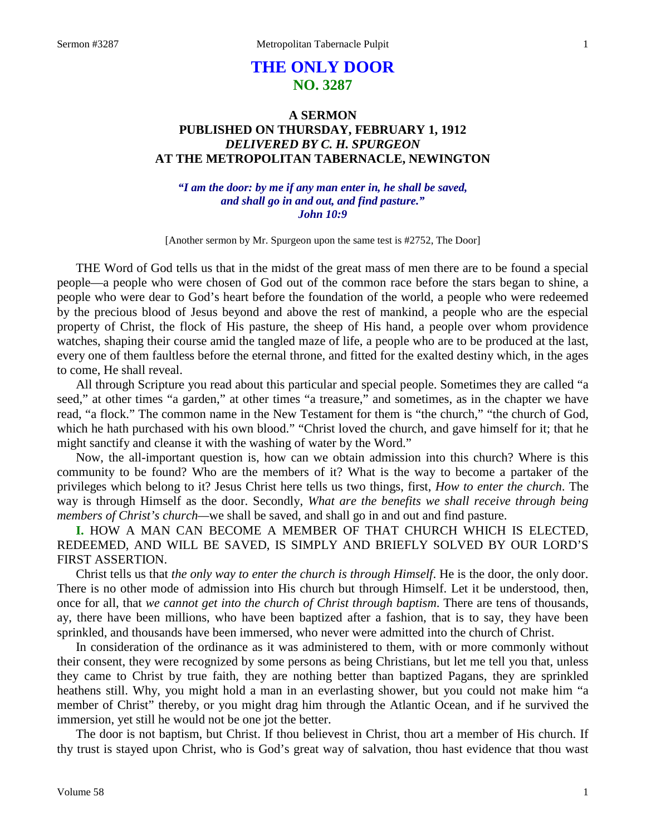# **THE ONLY DOOR NO. 3287**

# **A SERMON PUBLISHED ON THURSDAY, FEBRUARY 1, 1912** *DELIVERED BY C. H. SPURGEON* **AT THE METROPOLITAN TABERNACLE, NEWINGTON**

### *"I am the door: by me if any man enter in, he shall be saved, and shall go in and out, and find pasture." John 10:9*

[Another sermon by Mr. Spurgeon upon the same test is #2752, The Door]

THE Word of God tells us that in the midst of the great mass of men there are to be found a special people—a people who were chosen of God out of the common race before the stars began to shine, a people who were dear to God's heart before the foundation of the world, a people who were redeemed by the precious blood of Jesus beyond and above the rest of mankind, a people who are the especial property of Christ, the flock of His pasture, the sheep of His hand, a people over whom providence watches, shaping their course amid the tangled maze of life, a people who are to be produced at the last, every one of them faultless before the eternal throne, and fitted for the exalted destiny which, in the ages to come, He shall reveal.

All through Scripture you read about this particular and special people. Sometimes they are called "a seed," at other times "a garden," at other times "a treasure," and sometimes, as in the chapter we have read, "a flock." The common name in the New Testament for them is "the church," "the church of God, which he hath purchased with his own blood." "Christ loved the church, and gave himself for it; that he might sanctify and cleanse it with the washing of water by the Word."

Now, the all-important question is, how can we obtain admission into this church? Where is this community to be found? Who are the members of it? What is the way to become a partaker of the privileges which belong to it? Jesus Christ here tells us two things, first, *How to enter the church*. The way is through Himself as the door. Secondly, *What are the benefits we shall receive through being members of Christ's church—*we shall be saved, and shall go in and out and find pasture.

**I.** HOW A MAN CAN BECOME A MEMBER OF THAT CHURCH WHICH IS ELECTED, REDEEMED, AND WILL BE SAVED, IS SIMPLY AND BRIEFLY SOLVED BY OUR LORD'S FIRST ASSERTION.

Christ tells us that *the only way to enter the church is through Himself*. He is the door, the only door. There is no other mode of admission into His church but through Himself. Let it be understood, then, once for all, that *we cannot get into the church of Christ through baptism*. There are tens of thousands, ay, there have been millions, who have been baptized after a fashion, that is to say, they have been sprinkled, and thousands have been immersed, who never were admitted into the church of Christ.

In consideration of the ordinance as it was administered to them, with or more commonly without their consent, they were recognized by some persons as being Christians, but let me tell you that, unless they came to Christ by true faith, they are nothing better than baptized Pagans, they are sprinkled heathens still. Why, you might hold a man in an everlasting shower, but you could not make him "a member of Christ" thereby, or you might drag him through the Atlantic Ocean, and if he survived the immersion, yet still he would not be one jot the better.

The door is not baptism, but Christ. If thou believest in Christ, thou art a member of His church. If thy trust is stayed upon Christ, who is God's great way of salvation, thou hast evidence that thou wast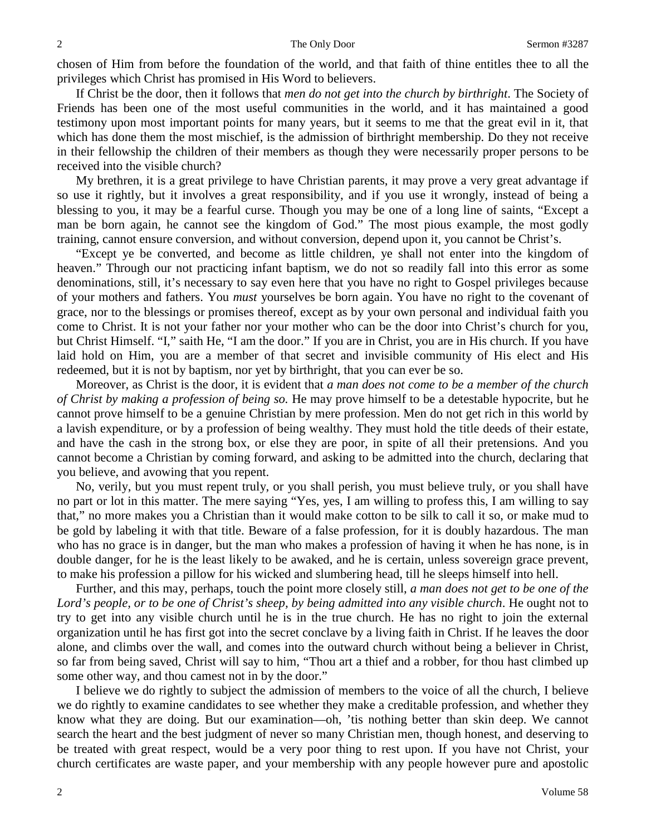chosen of Him from before the foundation of the world, and that faith of thine entitles thee to all the privileges which Christ has promised in His Word to believers.

If Christ be the door, then it follows that *men do not get into the church by birthright*. The Society of Friends has been one of the most useful communities in the world, and it has maintained a good testimony upon most important points for many years, but it seems to me that the great evil in it, that which has done them the most mischief, is the admission of birthright membership. Do they not receive in their fellowship the children of their members as though they were necessarily proper persons to be received into the visible church?

My brethren, it is a great privilege to have Christian parents, it may prove a very great advantage if so use it rightly, but it involves a great responsibility, and if you use it wrongly, instead of being a blessing to you, it may be a fearful curse. Though you may be one of a long line of saints, "Except a man be born again, he cannot see the kingdom of God." The most pious example, the most godly training, cannot ensure conversion, and without conversion, depend upon it, you cannot be Christ's.

"Except ye be converted, and become as little children, ye shall not enter into the kingdom of heaven." Through our not practicing infant baptism, we do not so readily fall into this error as some denominations, still, it's necessary to say even here that you have no right to Gospel privileges because of your mothers and fathers. You *must* yourselves be born again. You have no right to the covenant of grace, nor to the blessings or promises thereof, except as by your own personal and individual faith you come to Christ. It is not your father nor your mother who can be the door into Christ's church for you, but Christ Himself. "I," saith He, "I am the door." If you are in Christ, you are in His church. If you have laid hold on Him, you are a member of that secret and invisible community of His elect and His redeemed, but it is not by baptism, nor yet by birthright, that you can ever be so.

Moreover, as Christ is the door, it is evident that *a man does not come to be a member of the church of Christ by making a profession of being so.* He may prove himself to be a detestable hypocrite, but he cannot prove himself to be a genuine Christian by mere profession. Men do not get rich in this world by a lavish expenditure, or by a profession of being wealthy. They must hold the title deeds of their estate, and have the cash in the strong box, or else they are poor, in spite of all their pretensions. And you cannot become a Christian by coming forward, and asking to be admitted into the church, declaring that you believe, and avowing that you repent.

No, verily, but you must repent truly, or you shall perish, you must believe truly, or you shall have no part or lot in this matter. The mere saying "Yes, yes, I am willing to profess this, I am willing to say that," no more makes you a Christian than it would make cotton to be silk to call it so, or make mud to be gold by labeling it with that title. Beware of a false profession, for it is doubly hazardous. The man who has no grace is in danger, but the man who makes a profession of having it when he has none, is in double danger, for he is the least likely to be awaked, and he is certain, unless sovereign grace prevent, to make his profession a pillow for his wicked and slumbering head, till he sleeps himself into hell.

Further, and this may, perhaps, touch the point more closely still, *a man does not get to be one of the Lord's people, or to be one of Christ's sheep, by being admitted into any visible church*. He ought not to try to get into any visible church until he is in the true church. He has no right to join the external organization until he has first got into the secret conclave by a living faith in Christ. If he leaves the door alone, and climbs over the wall, and comes into the outward church without being a believer in Christ, so far from being saved, Christ will say to him, "Thou art a thief and a robber, for thou hast climbed up some other way, and thou camest not in by the door."

I believe we do rightly to subject the admission of members to the voice of all the church, I believe we do rightly to examine candidates to see whether they make a creditable profession, and whether they know what they are doing. But our examination—oh, 'tis nothing better than skin deep. We cannot search the heart and the best judgment of never so many Christian men, though honest, and deserving to be treated with great respect, would be a very poor thing to rest upon. If you have not Christ, your church certificates are waste paper, and your membership with any people however pure and apostolic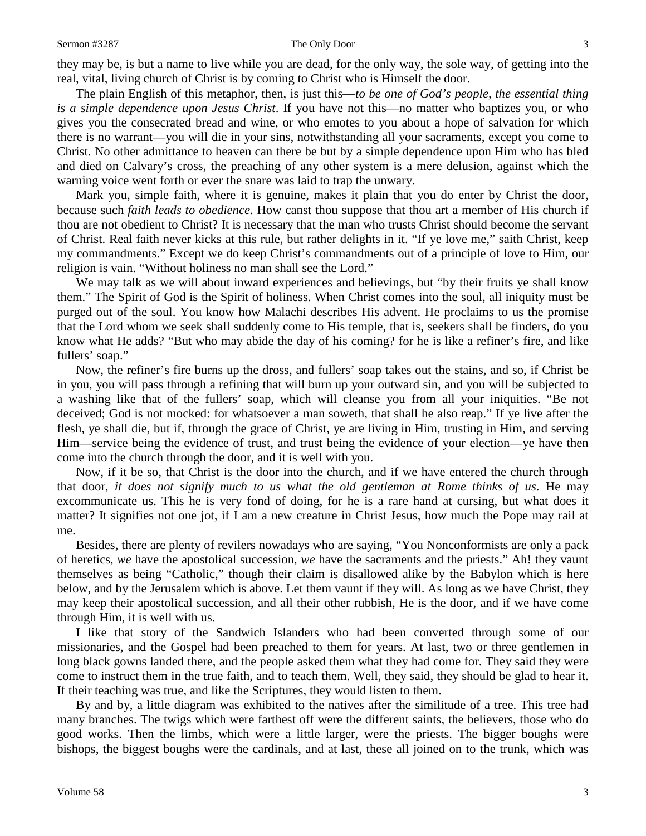#### Sermon #3287 The Only Door 3

they may be, is but a name to live while you are dead, for the only way, the sole way, of getting into the real, vital, living church of Christ is by coming to Christ who is Himself the door.

The plain English of this metaphor, then, is just this—*to be one of God's people, the essential thing is a simple dependence upon Jesus Christ*. If you have not this—no matter who baptizes you, or who gives you the consecrated bread and wine, or who emotes to you about a hope of salvation for which there is no warrant—you will die in your sins, notwithstanding all your sacraments, except you come to Christ. No other admittance to heaven can there be but by a simple dependence upon Him who has bled and died on Calvary's cross, the preaching of any other system is a mere delusion, against which the warning voice went forth or ever the snare was laid to trap the unwary.

Mark you, simple faith, where it is genuine, makes it plain that you do enter by Christ the door, because such *faith leads to obedience*. How canst thou suppose that thou art a member of His church if thou are not obedient to Christ? It is necessary that the man who trusts Christ should become the servant of Christ. Real faith never kicks at this rule, but rather delights in it. "If ye love me," saith Christ, keep my commandments." Except we do keep Christ's commandments out of a principle of love to Him, our religion is vain. "Without holiness no man shall see the Lord."

We may talk as we will about inward experiences and believings, but "by their fruits ye shall know them." The Spirit of God is the Spirit of holiness. When Christ comes into the soul, all iniquity must be purged out of the soul. You know how Malachi describes His advent. He proclaims to us the promise that the Lord whom we seek shall suddenly come to His temple, that is, seekers shall be finders, do you know what He adds? "But who may abide the day of his coming? for he is like a refiner's fire, and like fullers' soap."

Now, the refiner's fire burns up the dross, and fullers' soap takes out the stains, and so, if Christ be in you, you will pass through a refining that will burn up your outward sin, and you will be subjected to a washing like that of the fullers' soap, which will cleanse you from all your iniquities. "Be not deceived; God is not mocked: for whatsoever a man soweth, that shall he also reap." If ye live after the flesh, ye shall die, but if, through the grace of Christ, ye are living in Him, trusting in Him, and serving Him—service being the evidence of trust, and trust being the evidence of your election—ye have then come into the church through the door, and it is well with you.

Now, if it be so, that Christ is the door into the church, and if we have entered the church through that door, *it does not signify much to us what the old gentleman at Rome thinks of us*. He may excommunicate us. This he is very fond of doing, for he is a rare hand at cursing, but what does it matter? It signifies not one jot, if I am a new creature in Christ Jesus, how much the Pope may rail at me.

Besides, there are plenty of revilers nowadays who are saying, "You Nonconformists are only a pack of heretics, *we* have the apostolical succession, *we* have the sacraments and the priests." Ah! they vaunt themselves as being "Catholic," though their claim is disallowed alike by the Babylon which is here below, and by the Jerusalem which is above. Let them vaunt if they will. As long as we have Christ, they may keep their apostolical succession, and all their other rubbish, He is the door, and if we have come through Him, it is well with us.

I like that story of the Sandwich Islanders who had been converted through some of our missionaries, and the Gospel had been preached to them for years. At last, two or three gentlemen in long black gowns landed there, and the people asked them what they had come for. They said they were come to instruct them in the true faith, and to teach them. Well, they said, they should be glad to hear it. If their teaching was true, and like the Scriptures, they would listen to them.

By and by, a little diagram was exhibited to the natives after the similitude of a tree. This tree had many branches. The twigs which were farthest off were the different saints, the believers, those who do good works. Then the limbs, which were a little larger, were the priests. The bigger boughs were bishops, the biggest boughs were the cardinals, and at last, these all joined on to the trunk, which was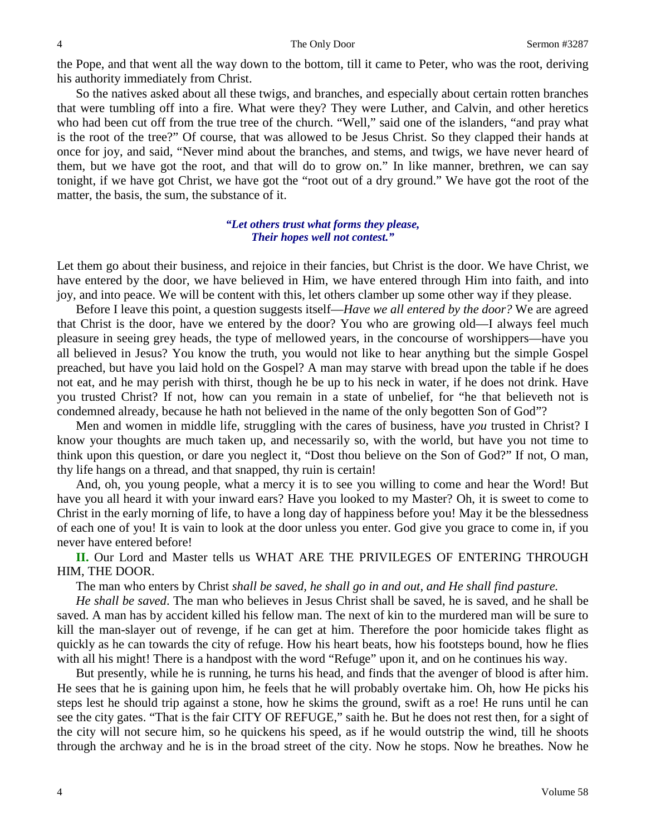the Pope, and that went all the way down to the bottom, till it came to Peter, who was the root, deriving his authority immediately from Christ.

So the natives asked about all these twigs, and branches, and especially about certain rotten branches that were tumbling off into a fire. What were they? They were Luther, and Calvin, and other heretics who had been cut off from the true tree of the church. "Well," said one of the islanders, "and pray what is the root of the tree?" Of course, that was allowed to be Jesus Christ. So they clapped their hands at once for joy, and said, "Never mind about the branches, and stems, and twigs, we have never heard of them, but we have got the root, and that will do to grow on." In like manner, brethren, we can say tonight, if we have got Christ, we have got the "root out of a dry ground." We have got the root of the matter, the basis, the sum, the substance of it.

### *"Let others trust what forms they please, Their hopes well not contest."*

Let them go about their business, and rejoice in their fancies, but Christ is the door. We have Christ, we have entered by the door, we have believed in Him, we have entered through Him into faith, and into joy, and into peace. We will be content with this, let others clamber up some other way if they please.

Before I leave this point, a question suggests itself—*Have we all entered by the door?* We are agreed that Christ is the door, have we entered by the door? You who are growing old—I always feel much pleasure in seeing grey heads, the type of mellowed years, in the concourse of worshippers—have you all believed in Jesus? You know the truth, you would not like to hear anything but the simple Gospel preached, but have you laid hold on the Gospel? A man may starve with bread upon the table if he does not eat, and he may perish with thirst, though he be up to his neck in water, if he does not drink. Have you trusted Christ? If not, how can you remain in a state of unbelief, for "he that believeth not is condemned already, because he hath not believed in the name of the only begotten Son of God"?

Men and women in middle life, struggling with the cares of business, have *you* trusted in Christ? I know your thoughts are much taken up, and necessarily so, with the world, but have you not time to think upon this question, or dare you neglect it, "Dost thou believe on the Son of God?" If not, O man, thy life hangs on a thread, and that snapped, thy ruin is certain!

And, oh, you young people, what a mercy it is to see you willing to come and hear the Word! But have you all heard it with your inward ears? Have you looked to my Master? Oh, it is sweet to come to Christ in the early morning of life, to have a long day of happiness before you! May it be the blessedness of each one of you! It is vain to look at the door unless you enter. God give you grace to come in, if you never have entered before!

**II.** Our Lord and Master tells us WHAT ARE THE PRIVILEGES OF ENTERING THROUGH HIM, THE DOOR.

The man who enters by Christ *shall be saved, he shall go in and out, and He shall find pasture.*

*He shall be saved*. The man who believes in Jesus Christ shall be saved, he is saved, and he shall be saved. A man has by accident killed his fellow man. The next of kin to the murdered man will be sure to kill the man-slayer out of revenge, if he can get at him. Therefore the poor homicide takes flight as quickly as he can towards the city of refuge. How his heart beats, how his footsteps bound, how he flies with all his might! There is a handpost with the word "Refuge" upon it, and on he continues his way.

But presently, while he is running, he turns his head, and finds that the avenger of blood is after him. He sees that he is gaining upon him, he feels that he will probably overtake him. Oh, how He picks his steps lest he should trip against a stone, how he skims the ground, swift as a roe! He runs until he can see the city gates. "That is the fair CITY OF REFUGE," saith he. But he does not rest then, for a sight of the city will not secure him, so he quickens his speed, as if he would outstrip the wind, till he shoots through the archway and he is in the broad street of the city. Now he stops. Now he breathes. Now he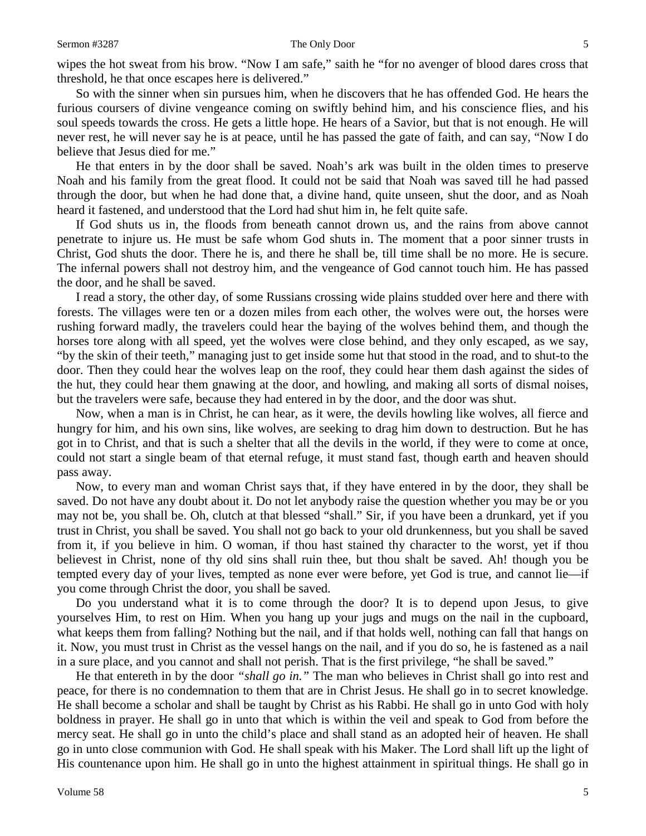wipes the hot sweat from his brow. "Now I am safe," saith he "for no avenger of blood dares cross that threshold, he that once escapes here is delivered."

So with the sinner when sin pursues him, when he discovers that he has offended God. He hears the furious coursers of divine vengeance coming on swiftly behind him, and his conscience flies, and his soul speeds towards the cross. He gets a little hope. He hears of a Savior, but that is not enough. He will never rest, he will never say he is at peace, until he has passed the gate of faith, and can say, "Now I do believe that Jesus died for me."

He that enters in by the door shall be saved. Noah's ark was built in the olden times to preserve Noah and his family from the great flood. It could not be said that Noah was saved till he had passed through the door, but when he had done that, a divine hand, quite unseen, shut the door, and as Noah heard it fastened, and understood that the Lord had shut him in, he felt quite safe.

If God shuts us in, the floods from beneath cannot drown us, and the rains from above cannot penetrate to injure us. He must be safe whom God shuts in. The moment that a poor sinner trusts in Christ, God shuts the door. There he is, and there he shall be, till time shall be no more. He is secure. The infernal powers shall not destroy him, and the vengeance of God cannot touch him. He has passed the door, and he shall be saved.

I read a story, the other day, of some Russians crossing wide plains studded over here and there with forests. The villages were ten or a dozen miles from each other, the wolves were out, the horses were rushing forward madly, the travelers could hear the baying of the wolves behind them, and though the horses tore along with all speed, yet the wolves were close behind, and they only escaped, as we say, "by the skin of their teeth," managing just to get inside some hut that stood in the road, and to shut-to the door. Then they could hear the wolves leap on the roof, they could hear them dash against the sides of the hut, they could hear them gnawing at the door, and howling, and making all sorts of dismal noises, but the travelers were safe, because they had entered in by the door, and the door was shut.

Now, when a man is in Christ, he can hear, as it were, the devils howling like wolves, all fierce and hungry for him, and his own sins, like wolves, are seeking to drag him down to destruction. But he has got in to Christ, and that is such a shelter that all the devils in the world, if they were to come at once, could not start a single beam of that eternal refuge, it must stand fast, though earth and heaven should pass away.

Now, to every man and woman Christ says that, if they have entered in by the door, they shall be saved. Do not have any doubt about it. Do not let anybody raise the question whether you may be or you may not be, you shall be. Oh, clutch at that blessed "shall." Sir, if you have been a drunkard, yet if you trust in Christ, you shall be saved. You shall not go back to your old drunkenness, but you shall be saved from it, if you believe in him. O woman, if thou hast stained thy character to the worst, yet if thou believest in Christ, none of thy old sins shall ruin thee, but thou shalt be saved. Ah! though you be tempted every day of your lives, tempted as none ever were before, yet God is true, and cannot lie—if you come through Christ the door, you shall be saved.

Do you understand what it is to come through the door? It is to depend upon Jesus, to give yourselves Him, to rest on Him. When you hang up your jugs and mugs on the nail in the cupboard, what keeps them from falling? Nothing but the nail, and if that holds well, nothing can fall that hangs on it. Now, you must trust in Christ as the vessel hangs on the nail, and if you do so, he is fastened as a nail in a sure place, and you cannot and shall not perish. That is the first privilege, "he shall be saved."

He that entereth in by the door *"shall go in."* The man who believes in Christ shall go into rest and peace, for there is no condemnation to them that are in Christ Jesus. He shall go in to secret knowledge. He shall become a scholar and shall be taught by Christ as his Rabbi. He shall go in unto God with holy boldness in prayer. He shall go in unto that which is within the veil and speak to God from before the mercy seat. He shall go in unto the child's place and shall stand as an adopted heir of heaven. He shall go in unto close communion with God. He shall speak with his Maker. The Lord shall lift up the light of His countenance upon him. He shall go in unto the highest attainment in spiritual things. He shall go in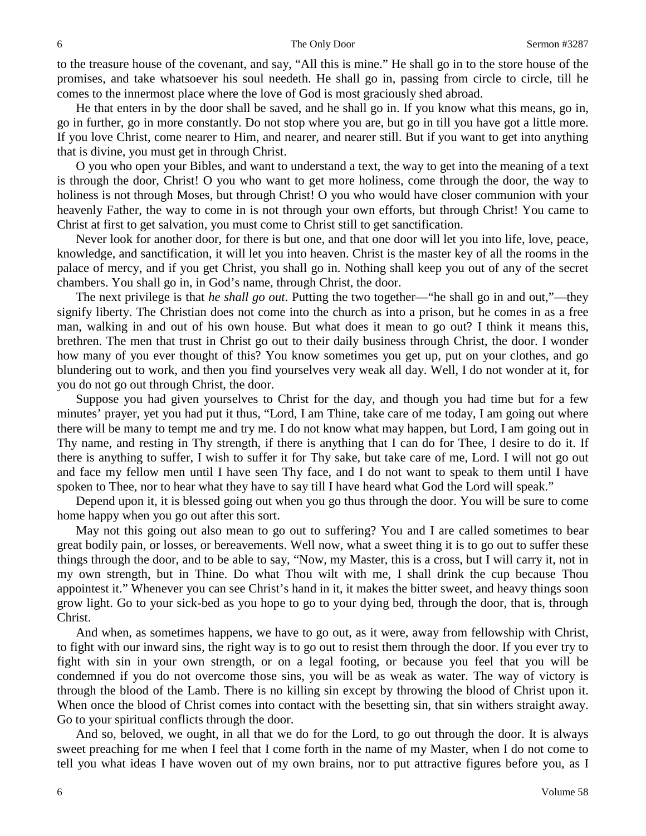to the treasure house of the covenant, and say, "All this is mine." He shall go in to the store house of the promises, and take whatsoever his soul needeth. He shall go in, passing from circle to circle, till he comes to the innermost place where the love of God is most graciously shed abroad.

He that enters in by the door shall be saved, and he shall go in. If you know what this means, go in, go in further, go in more constantly. Do not stop where you are, but go in till you have got a little more. If you love Christ, come nearer to Him, and nearer, and nearer still. But if you want to get into anything that is divine, you must get in through Christ.

O you who open your Bibles, and want to understand a text, the way to get into the meaning of a text is through the door, Christ! O you who want to get more holiness, come through the door, the way to holiness is not through Moses, but through Christ! O you who would have closer communion with your heavenly Father, the way to come in is not through your own efforts, but through Christ! You came to Christ at first to get salvation, you must come to Christ still to get sanctification.

Never look for another door, for there is but one, and that one door will let you into life, love, peace, knowledge, and sanctification, it will let you into heaven. Christ is the master key of all the rooms in the palace of mercy, and if you get Christ, you shall go in. Nothing shall keep you out of any of the secret chambers. You shall go in, in God's name, through Christ, the door.

The next privilege is that *he shall go out*. Putting the two together—"he shall go in and out,"—they signify liberty. The Christian does not come into the church as into a prison, but he comes in as a free man, walking in and out of his own house. But what does it mean to go out? I think it means this, brethren. The men that trust in Christ go out to their daily business through Christ, the door. I wonder how many of you ever thought of this? You know sometimes you get up, put on your clothes, and go blundering out to work, and then you find yourselves very weak all day. Well, I do not wonder at it, for you do not go out through Christ, the door.

Suppose you had given yourselves to Christ for the day, and though you had time but for a few minutes' prayer, yet you had put it thus, "Lord, I am Thine, take care of me today, I am going out where there will be many to tempt me and try me. I do not know what may happen, but Lord, I am going out in Thy name, and resting in Thy strength, if there is anything that I can do for Thee, I desire to do it. If there is anything to suffer, I wish to suffer it for Thy sake, but take care of me, Lord. I will not go out and face my fellow men until I have seen Thy face, and I do not want to speak to them until I have spoken to Thee, nor to hear what they have to say till I have heard what God the Lord will speak."

Depend upon it, it is blessed going out when you go thus through the door. You will be sure to come home happy when you go out after this sort.

May not this going out also mean to go out to suffering? You and I are called sometimes to bear great bodily pain, or losses, or bereavements. Well now, what a sweet thing it is to go out to suffer these things through the door, and to be able to say, "Now, my Master, this is a cross, but I will carry it, not in my own strength, but in Thine. Do what Thou wilt with me, I shall drink the cup because Thou appointest it." Whenever you can see Christ's hand in it, it makes the bitter sweet, and heavy things soon grow light. Go to your sick-bed as you hope to go to your dying bed, through the door, that is, through Christ.

And when, as sometimes happens, we have to go out, as it were, away from fellowship with Christ, to fight with our inward sins, the right way is to go out to resist them through the door. If you ever try to fight with sin in your own strength, or on a legal footing, or because you feel that you will be condemned if you do not overcome those sins, you will be as weak as water. The way of victory is through the blood of the Lamb. There is no killing sin except by throwing the blood of Christ upon it. When once the blood of Christ comes into contact with the besetting sin, that sin withers straight away. Go to your spiritual conflicts through the door.

And so, beloved, we ought, in all that we do for the Lord, to go out through the door. It is always sweet preaching for me when I feel that I come forth in the name of my Master, when I do not come to tell you what ideas I have woven out of my own brains, nor to put attractive figures before you, as I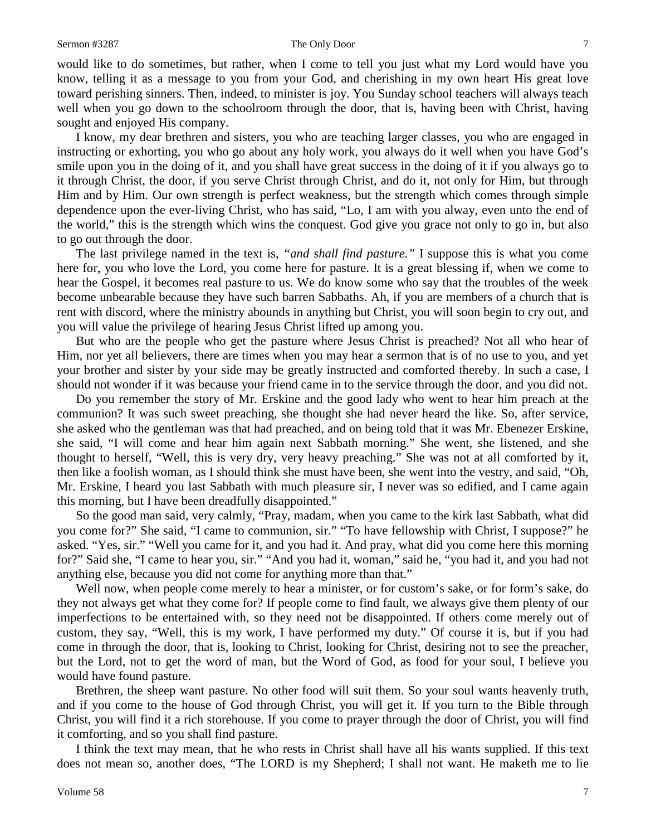#### Sermon #3287 The Only Door 7

would like to do sometimes, but rather, when I come to tell you just what my Lord would have you know, telling it as a message to you from your God, and cherishing in my own heart His great love toward perishing sinners. Then, indeed, to minister is joy. You Sunday school teachers will always teach well when you go down to the schoolroom through the door, that is, having been with Christ, having sought and enjoyed His company.

I know, my dear brethren and sisters, you who are teaching larger classes, you who are engaged in instructing or exhorting, you who go about any holy work, you always do it well when you have God's smile upon you in the doing of it, and you shall have great success in the doing of it if you always go to it through Christ, the door, if you serve Christ through Christ, and do it, not only for Him, but through Him and by Him. Our own strength is perfect weakness, but the strength which comes through simple dependence upon the ever-living Christ, who has said, "Lo, I am with you alway, even unto the end of the world," this is the strength which wins the conquest. God give you grace not only to go in, but also to go out through the door.

The last privilege named in the text is, *"and shall find pasture."* I suppose this is what you come here for, you who love the Lord, you come here for pasture. It is a great blessing if, when we come to hear the Gospel, it becomes real pasture to us. We do know some who say that the troubles of the week become unbearable because they have such barren Sabbaths. Ah, if you are members of a church that is rent with discord, where the ministry abounds in anything but Christ, you will soon begin to cry out, and you will value the privilege of hearing Jesus Christ lifted up among you.

But who are the people who get the pasture where Jesus Christ is preached? Not all who hear of Him, nor yet all believers, there are times when you may hear a sermon that is of no use to you, and yet your brother and sister by your side may be greatly instructed and comforted thereby. In such a case, I should not wonder if it was because your friend came in to the service through the door, and you did not.

Do you remember the story of Mr. Erskine and the good lady who went to hear him preach at the communion? It was such sweet preaching, she thought she had never heard the like. So, after service, she asked who the gentleman was that had preached, and on being told that it was Mr. Ebenezer Erskine, she said, "I will come and hear him again next Sabbath morning." She went, she listened, and she thought to herself, "Well, this is very dry, very heavy preaching." She was not at all comforted by it, then like a foolish woman, as I should think she must have been, she went into the vestry, and said, "Oh, Mr. Erskine, I heard you last Sabbath with much pleasure sir, I never was so edified, and I came again this morning, but I have been dreadfully disappointed."

So the good man said, very calmly, "Pray, madam, when you came to the kirk last Sabbath, what did you come for?" She said, "I came to communion, sir." "To have fellowship with Christ, I suppose?" he asked. "Yes, sir." "Well you came for it, and you had it. And pray, what did you come here this morning for?" Said she, "I came to hear you, sir." "And you had it, woman," said he, "you had it, and you had not anything else, because you did not come for anything more than that."

Well now, when people come merely to hear a minister, or for custom's sake, or for form's sake, do they not always get what they come for? If people come to find fault, we always give them plenty of our imperfections to be entertained with, so they need not be disappointed. If others come merely out of custom, they say, "Well, this is my work, I have performed my duty." Of course it is, but if you had come in through the door, that is, looking to Christ, looking for Christ, desiring not to see the preacher, but the Lord, not to get the word of man, but the Word of God, as food for your soul, I believe you would have found pasture.

Brethren, the sheep want pasture. No other food will suit them. So your soul wants heavenly truth, and if you come to the house of God through Christ, you will get it. If you turn to the Bible through Christ, you will find it a rich storehouse. If you come to prayer through the door of Christ, you will find it comforting, and so you shall find pasture.

I think the text may mean, that he who rests in Christ shall have all his wants supplied. If this text does not mean so, another does, "The LORD is my Shepherd; I shall not want. He maketh me to lie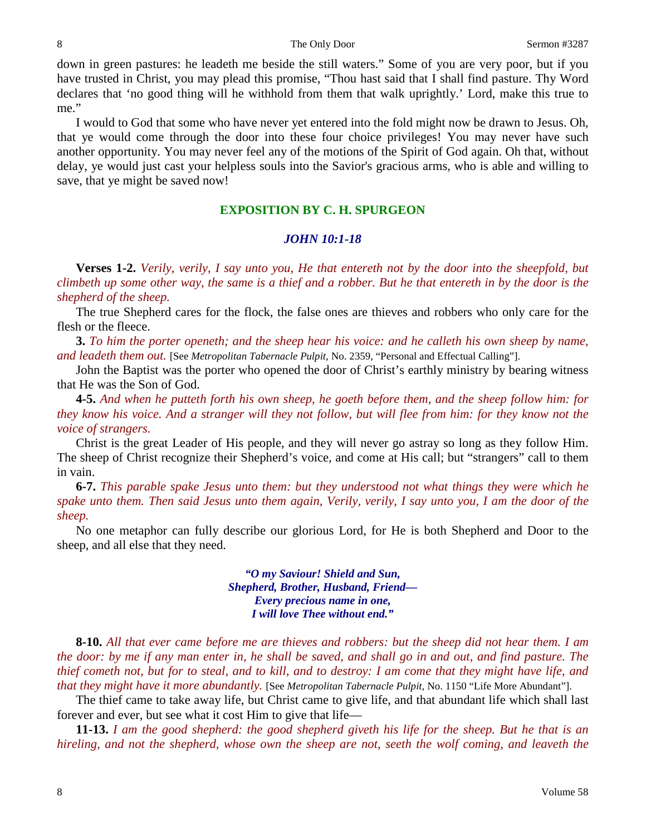down in green pastures: he leadeth me beside the still waters." Some of you are very poor, but if you have trusted in Christ, you may plead this promise, "Thou hast said that I shall find pasture. Thy Word declares that 'no good thing will he withhold from them that walk uprightly.' Lord, make this true to me."

I would to God that some who have never yet entered into the fold might now be drawn to Jesus. Oh, that ye would come through the door into these four choice privileges! You may never have such another opportunity. You may never feel any of the motions of the Spirit of God again. Oh that, without delay, ye would just cast your helpless souls into the Savior's gracious arms, who is able and willing to save, that ye might be saved now!

## **EXPOSITION BY C. H. SPURGEON**

#### *JOHN 10:1-18*

**Verses 1-2.** *Verily, verily, I say unto you, He that entereth not by the door into the sheepfold, but climbeth up some other way, the same is a thief and a robber. But he that entereth in by the door is the shepherd of the sheep.*

The true Shepherd cares for the flock, the false ones are thieves and robbers who only care for the flesh or the fleece.

**3.** *To him the porter openeth; and the sheep hear his voice: and he calleth his own sheep by name, and leadeth them out.* [See *Metropolitan Tabernacle Pulpit,* No. 2359, "Personal and Effectual Calling"].

John the Baptist was the porter who opened the door of Christ's earthly ministry by bearing witness that He was the Son of God.

**4-5.** *And when he putteth forth his own sheep, he goeth before them, and the sheep follow him: for they know his voice. And a stranger will they not follow, but will flee from him: for they know not the voice of strangers.*

Christ is the great Leader of His people, and they will never go astray so long as they follow Him. The sheep of Christ recognize their Shepherd's voice, and come at His call; but "strangers" call to them in vain.

**6-7.** *This parable spake Jesus unto them: but they understood not what things they were which he spake unto them. Then said Jesus unto them again, Verily, verily, I say unto you, I am the door of the sheep.*

No one metaphor can fully describe our glorious Lord, for He is both Shepherd and Door to the sheep, and all else that they need.

> *"O my Saviour! Shield and Sun, Shepherd, Brother, Husband, Friend— Every precious name in one, I will love Thee without end."*

**8-10.** *All that ever came before me are thieves and robbers: but the sheep did not hear them. I am the door: by me if any man enter in, he shall be saved, and shall go in and out, and find pasture. The thief cometh not, but for to steal, and to kill, and to destroy: I am come that they might have life, and that they might have it more abundantly.* [See *Metropolitan Tabernacle Pulpit,* No. 1150 "Life More Abundant"].

The thief came to take away life, but Christ came to give life, and that abundant life which shall last forever and ever, but see what it cost Him to give that life—

**11-13.** *I am the good shepherd: the good shepherd giveth his life for the sheep. But he that is an hireling, and not the shepherd, whose own the sheep are not, seeth the wolf coming, and leaveth the*